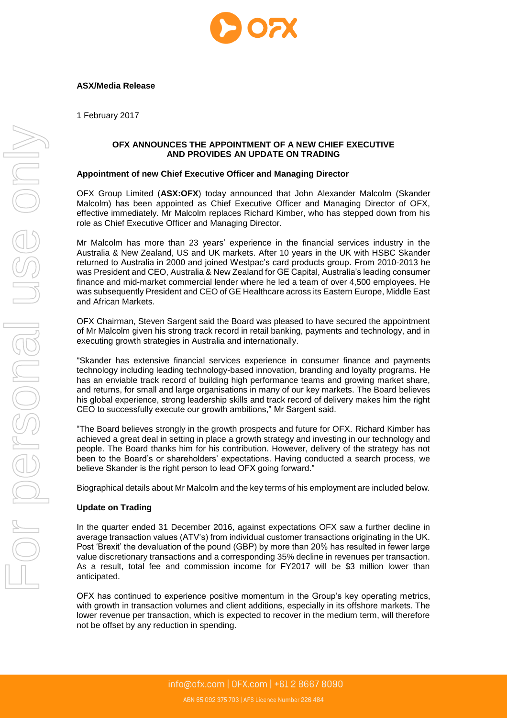

# **ASX/Media Release**

1 February 2017

## **OFX ANNOUNCES THE APPOINTMENT OF A NEW CHIEF EXECUTIVE AND PROVIDES AN UPDATE ON TRADING**

### **Appointment of new Chief Executive Officer and Managing Director**

OFX Group Limited (**ASX:OFX**) today announced that John Alexander Malcolm (Skander Malcolm) has been appointed as Chief Executive Officer and Managing Director of OFX, effective immediately. Mr Malcolm replaces Richard Kimber, who has stepped down from his role as Chief Executive Officer and Managing Director.

Mr Malcolm has more than 23 years' experience in the financial services industry in the Australia & New Zealand, US and UK markets. After 10 years in the UK with HSBC Skander returned to Australia in 2000 and joined Westpac's card products group. From 2010-2013 he was President and CEO, Australia & New Zealand for GE Capital, Australia's leading consumer finance and mid-market commercial lender where he led a team of over 4,500 employees. He was subsequently President and CEO of GE Healthcare across its Eastern Europe, Middle East and African Markets.

OFX Chairman, Steven Sargent said the Board was pleased to have secured the appointment of Mr Malcolm given his strong track record in retail banking, payments and technology, and in executing growth strategies in Australia and internationally.

"Skander has extensive financial services experience in consumer finance and payments technology including leading technology-based innovation, branding and loyalty programs. He has an enviable track record of building high performance teams and growing market share, and returns, for small and large organisations in many of our key markets. The Board believes his global experience, strong leadership skills and track record of delivery makes him the right CEO to successfully execute our growth ambitions," Mr Sargent said.

"The Board believes strongly in the growth prospects and future for OFX. Richard Kimber has achieved a great deal in setting in place a growth strategy and investing in our technology and people. The Board thanks him for his contribution. However, delivery of the strategy has not been to the Board's or shareholders' expectations. Having conducted a search process, we believe Skander is the right person to lead OFX going forward."

Biographical details about Mr Malcolm and the key terms of his employment are included below.

### **Update on Trading**

In the quarter ended 31 December 2016, against expectations OFX saw a further decline in average transaction values (ATV's) from individual customer transactions originating in the UK. Post 'Brexit' the devaluation of the pound (GBP) by more than 20% has resulted in fewer large value discretionary transactions and a corresponding 35% decline in revenues per transaction. As a result, total fee and commission income for FY2017 will be \$3 million lower than anticipated.

OFX has continued to experience positive momentum in the Group's key operating metrics, with growth in transaction volumes and client additions, especially in its offshore markets. The lower revenue per transaction, which is expected to recover in the medium term, will therefore not be offset by any reduction in spending.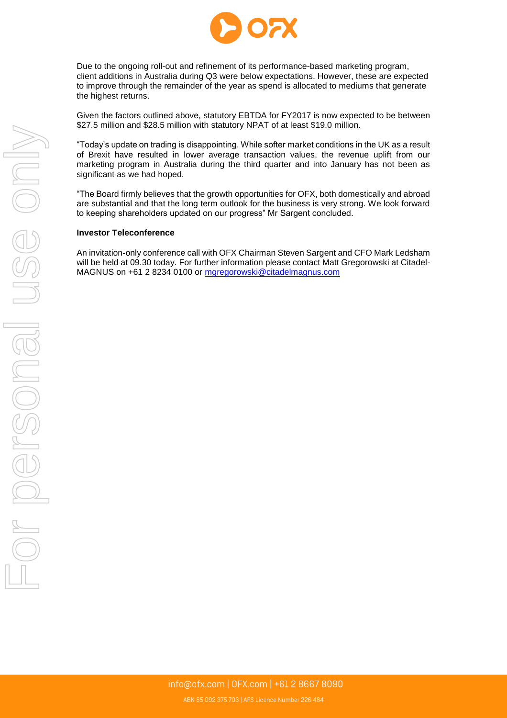

Due to the ongoing roll-out and refinement of its performance-based marketing program, client additions in Australia during Q3 were below expectations. However, these are expected to improve through the remainder of the year as spend is allocated to mediums that generate the highest returns.

Given the factors outlined above, statutory EBTDA for FY2017 is now expected to be between \$27.5 million and \$28.5 million with statutory NPAT of at least \$19.0 million.

"Today's update on trading is disappointing. While softer market conditions in the UK as a result of Brexit have resulted in lower average transaction values, the revenue uplift from our marketing program in Australia during the third quarter and into January has not been as significant as we had hoped.

"The Board firmly believes that the growth opportunities for OFX, both domestically and abroad are substantial and that the long term outlook for the business is very strong. We look forward to keeping shareholders updated on our progress" Mr Sargent concluded.

### **Investor Teleconference**

An invitation-only conference call with OFX Chairman Steven Sargent and CFO Mark Ledsham will be held at 09.30 today. For further information please contact Matt Gregorowski at Citadel-MAGNUS on +61 2 8234 0100 or [mgregorowski@citadelmagnus.com](mailto:mgregorowski@citadelmagnus.com)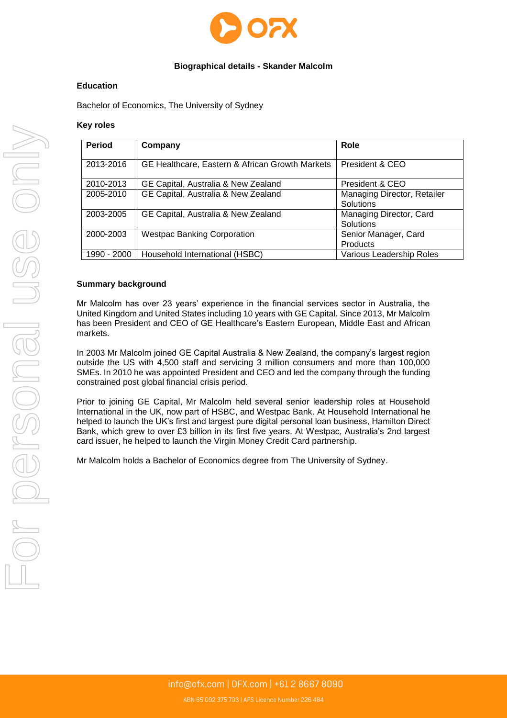

# **Biographical details - Skander Malcolm**

### **Education**

Bachelor of Economics, The University of Sydney

## **Key roles**

| <b>Period</b> | Company                                         | Role                                     |
|---------------|-------------------------------------------------|------------------------------------------|
| 2013-2016     | GE Healthcare, Eastern & African Growth Markets | President & CEO                          |
| 2010-2013     | GE Capital, Australia & New Zealand             | President & CEO                          |
| 2005-2010     | GE Capital, Australia & New Zealand             | Managing Director, Retailer<br>Solutions |
| 2003-2005     | GE Capital, Australia & New Zealand             | Managing Director, Card<br>Solutions     |
| 2000-2003     | <b>Westpac Banking Corporation</b>              | Senior Manager, Card<br><b>Products</b>  |
| 1990 - 2000   | Household International (HSBC)                  | <b>Various Leadership Roles</b>          |

## **Summary background**

Mr Malcolm has over 23 years' experience in the financial services sector in Australia, the United Kingdom and United States including 10 years with GE Capital. Since 2013, Mr Malcolm has been President and CEO of GE Healthcare's Eastern European, Middle East and African markets.

In 2003 Mr Malcolm joined GE Capital Australia & New Zealand, the company's largest region outside the US with 4,500 staff and servicing 3 million consumers and more than 100,000 SMEs. In 2010 he was appointed President and CEO and led the company through the funding constrained post global financial crisis period.

Prior to joining GE Capital, Mr Malcolm held several senior leadership roles at Household International in the UK, now part of HSBC, and Westpac Bank. At Household International he helped to launch the UK's first and largest pure digital personal loan business, Hamilton Direct Bank, which grew to over £3 billion in its first five years. At Westpac, Australia's 2nd largest card issuer, he helped to launch the Virgin Money Credit Card partnership.

Mr Malcolm holds a Bachelor of Economics degree from The University of Sydney.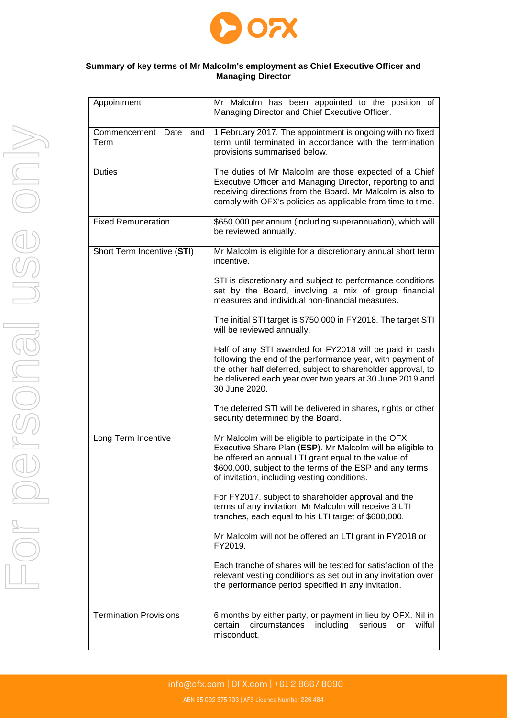

# **Summary of key terms of Mr Malcolm's employment as Chief Executive Officer and Managing Director**

| Appointment                   | Mr Malcolm has been appointed to the position of<br>Managing Director and Chief Executive Officer.                                                                                                                                                                                      |  |
|-------------------------------|-----------------------------------------------------------------------------------------------------------------------------------------------------------------------------------------------------------------------------------------------------------------------------------------|--|
| Commencement Date and<br>Term | 1 February 2017. The appointment is ongoing with no fixed<br>term until terminated in accordance with the termination<br>provisions summarised below.                                                                                                                                   |  |
| <b>Duties</b>                 | The duties of Mr Malcolm are those expected of a Chief<br>Executive Officer and Managing Director, reporting to and<br>receiving directions from the Board. Mr Malcolm is also to<br>comply with OFX's policies as applicable from time to time.                                        |  |
| <b>Fixed Remuneration</b>     | \$650,000 per annum (including superannuation), which will<br>be reviewed annually.                                                                                                                                                                                                     |  |
| Short Term Incentive (STI)    | Mr Malcolm is eligible for a discretionary annual short term<br>incentive.                                                                                                                                                                                                              |  |
|                               | STI is discretionary and subject to performance conditions<br>set by the Board, involving a mix of group financial<br>measures and individual non-financial measures.                                                                                                                   |  |
|                               | The initial STI target is \$750,000 in FY2018. The target STI<br>will be reviewed annually.                                                                                                                                                                                             |  |
|                               | Half of any STI awarded for FY2018 will be paid in cash<br>following the end of the performance year, with payment of<br>the other half deferred, subject to shareholder approval, to<br>be delivered each year over two years at 30 June 2019 and<br>30 June 2020.                     |  |
|                               | The deferred STI will be delivered in shares, rights or other<br>security determined by the Board.                                                                                                                                                                                      |  |
| Long Term Incentive           | Mr Malcolm will be eligible to participate in the OFX<br>Executive Share Plan (ESP). Mr Malcolm will be eligible to<br>be offered an annual LTI grant equal to the value of<br>\$600,000, subject to the terms of the ESP and any terms<br>of invitation, including vesting conditions. |  |
|                               | For FY2017, subject to shareholder approval and the<br>terms of any invitation, Mr Malcolm will receive 3 LTI<br>tranches, each equal to his LTI target of \$600,000.                                                                                                                   |  |
|                               | Mr Malcolm will not be offered an LTI grant in FY2018 or<br>FY2019.                                                                                                                                                                                                                     |  |
|                               | Each tranche of shares will be tested for satisfaction of the<br>relevant vesting conditions as set out in any invitation over<br>the performance period specified in any invitation.                                                                                                   |  |
| <b>Termination Provisions</b> | 6 months by either party, or payment in lieu by OFX. Nil in<br>circumstances<br>including<br>wilful<br>certain<br>serious<br>or<br>misconduct.                                                                                                                                          |  |